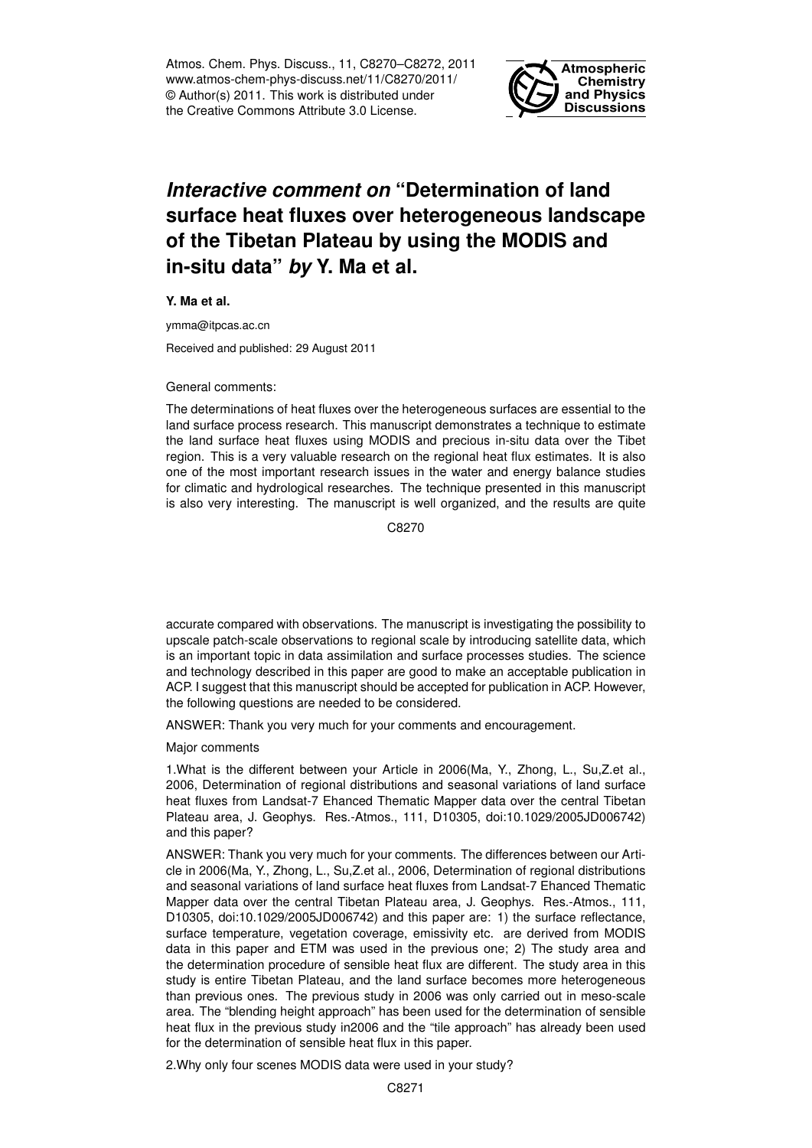Atmos. Chem. Phys. Discuss., 11, C8270–C8272, 2011 www.atmos-chem-phys-discuss.net/11/C8270/2011/ © Author(s) 2011. This work is distributed under the Creative Commons Attribute 3.0 License.



## *Interactive comment on* **"Determination of land surface heat fluxes over heterogeneous landscape of the Tibetan Plateau by using the MODIS and in-situ data"** *by* **Y. Ma et al.**

**Y. Ma et al.**

ymma@itpcas.ac.cn

Received and published: 29 August 2011

General comments:

The determinations of heat fluxes over the heterogeneous surfaces are essential to the land surface process research. This manuscript demonstrates a technique to estimate the land surface heat fluxes using MODIS and precious in-situ data over the Tibet region. This is a very valuable research on the regional heat flux estimates. It is also one of the most important research issues in the water and energy balance studies for climatic and hydrological researches. The technique presented in this manuscript is also very interesting. The manuscript is well organized, and the results are quite

C8270

accurate compared with observations. The manuscript is investigating the possibility to upscale patch-scale observations to regional scale by introducing satellite data, which is an important topic in data assimilation and surface processes studies. The science and technology described in this paper are good to make an acceptable publication in ACP. I suggest that this manuscript should be accepted for publication in ACP. However, the following questions are needed to be considered.

ANSWER: Thank you very much for your comments and encouragement.

Major comments

1.What is the different between your Article in 2006(Ma, Y., Zhong, L., Su,Z.et al., 2006, Determination of regional distributions and seasonal variations of land surface heat fluxes from Landsat-7 Ehanced Thematic Mapper data over the central Tibetan Plateau area, J. Geophys. Res.-Atmos., 111, D10305, doi:10.1029/2005JD006742) and this paper?

ANSWER: Thank you very much for your comments. The differences between our Article in 2006(Ma, Y., Zhong, L., Su,Z.et al., 2006, Determination of regional distributions and seasonal variations of land surface heat fluxes from Landsat-7 Ehanced Thematic Mapper data over the central Tibetan Plateau area, J. Geophys. Res.-Atmos., 111, D10305, doi:10.1029/2005JD006742) and this paper are: 1) the surface reflectance, surface temperature, vegetation coverage, emissivity etc. are derived from MODIS data in this paper and ETM was used in the previous one; 2) The study area and the determination procedure of sensible heat flux are different. The study area in this study is entire Tibetan Plateau, and the land surface becomes more heterogeneous than previous ones. The previous study in 2006 was only carried out in meso-scale area. The "blending height approach" has been used for the determination of sensible heat flux in the previous study in2006 and the "tile approach" has already been used for the determination of sensible heat flux in this paper.

2.Why only four scenes MODIS data were used in your study?